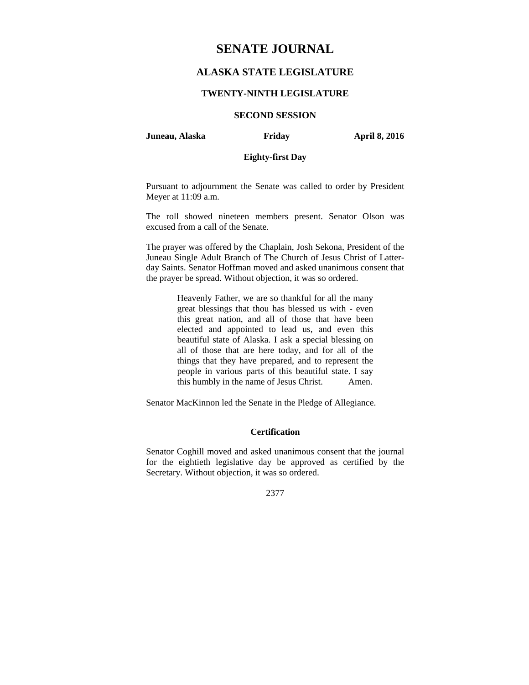# **SENATE JOURNAL**

# **ALASKA STATE LEGISLATURE**

### **TWENTY-NINTH LEGISLATURE**

# **SECOND SESSION**

**Juneau, Alaska Friday April 8, 2016** 

# **Eighty-first Day**

Pursuant to adjournment the Senate was called to order by President Meyer at 11:09 a.m.

The roll showed nineteen members present. Senator Olson was excused from a call of the Senate.

The prayer was offered by the Chaplain, Josh Sekona, President of the Juneau Single Adult Branch of The Church of Jesus Christ of Latterday Saints. Senator Hoffman moved and asked unanimous consent that the prayer be spread. Without objection, it was so ordered.

> Heavenly Father, we are so thankful for all the many great blessings that thou has blessed us with - even this great nation, and all of those that have been elected and appointed to lead us, and even this beautiful state of Alaska. I ask a special blessing on all of those that are here today, and for all of the things that they have prepared, and to represent the people in various parts of this beautiful state. I say this humbly in the name of Jesus Christ. Amen.

Senator MacKinnon led the Senate in the Pledge of Allegiance.

### **Certification**

Senator Coghill moved and asked unanimous consent that the journal for the eightieth legislative day be approved as certified by the Secretary. Without objection, it was so ordered.

2377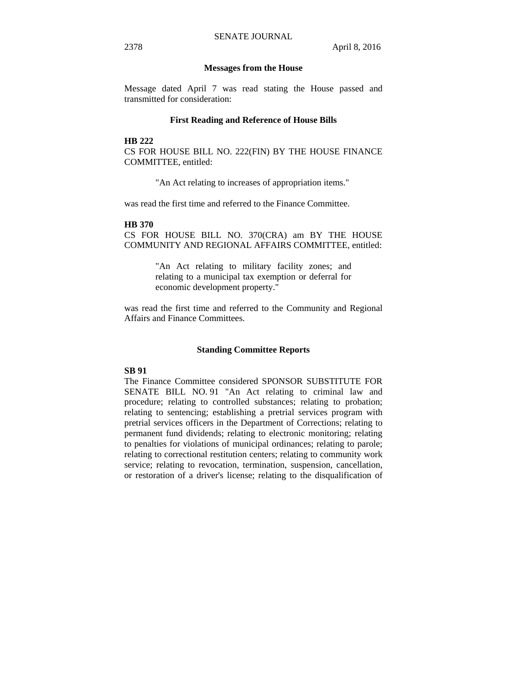### **Messages from the House**

Message dated April 7 was read stating the House passed and transmitted for consideration:

### **First Reading and Reference of House Bills**

**HB 222** 

CS FOR HOUSE BILL NO. 222(FIN) BY THE HOUSE FINANCE COMMITTEE, entitled:

"An Act relating to increases of appropriation items."

was read the first time and referred to the Finance Committee.

### **HB 370**

CS FOR HOUSE BILL NO. 370(CRA) am BY THE HOUSE COMMUNITY AND REGIONAL AFFAIRS COMMITTEE, entitled:

> "An Act relating to military facility zones; and relating to a municipal tax exemption or deferral for economic development property."

was read the first time and referred to the Community and Regional Affairs and Finance Committees.

### **Standing Committee Reports**

## **SB 91**

The Finance Committee considered SPONSOR SUBSTITUTE FOR SENATE BILL NO. 91 "An Act relating to criminal law and procedure; relating to controlled substances; relating to probation; relating to sentencing; establishing a pretrial services program with pretrial services officers in the Department of Corrections; relating to permanent fund dividends; relating to electronic monitoring; relating to penalties for violations of municipal ordinances; relating to parole; relating to correctional restitution centers; relating to community work service; relating to revocation, termination, suspension, cancellation, or restoration of a driver's license; relating to the disqualification of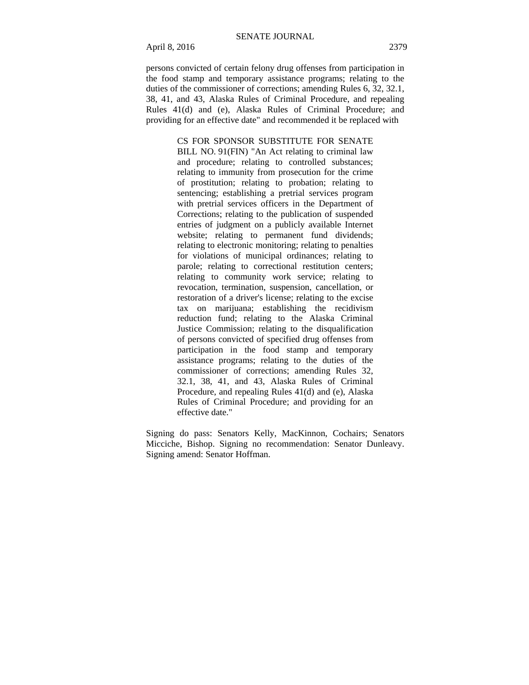April 8, 2016 2379

persons convicted of certain felony drug offenses from participation in the food stamp and temporary assistance programs; relating to the duties of the commissioner of corrections; amending Rules 6, 32, 32.1, 38, 41, and 43, Alaska Rules of Criminal Procedure, and repealing Rules 41(d) and (e), Alaska Rules of Criminal Procedure; and providing for an effective date" and recommended it be replaced with

> CS FOR SPONSOR SUBSTITUTE FOR SENATE BILL NO. 91(FIN) "An Act relating to criminal law and procedure; relating to controlled substances; relating to immunity from prosecution for the crime of prostitution; relating to probation; relating to sentencing; establishing a pretrial services program with pretrial services officers in the Department of Corrections; relating to the publication of suspended entries of judgment on a publicly available Internet website: relating to permanent fund dividends: relating to electronic monitoring; relating to penalties for violations of municipal ordinances; relating to parole; relating to correctional restitution centers; relating to community work service; relating to revocation, termination, suspension, cancellation, or restoration of a driver's license; relating to the excise tax on marijuana; establishing the recidivism reduction fund; relating to the Alaska Criminal Justice Commission; relating to the disqualification of persons convicted of specified drug offenses from participation in the food stamp and temporary assistance programs; relating to the duties of the commissioner of corrections; amending Rules 32, 32.1, 38, 41, and 43, Alaska Rules of Criminal Procedure, and repealing Rules 41(d) and (e), Alaska Rules of Criminal Procedure; and providing for an effective date."

Signing do pass: Senators Kelly, MacKinnon, Cochairs; Senators Micciche, Bishop. Signing no recommendation: Senator Dunleavy. Signing amend: Senator Hoffman.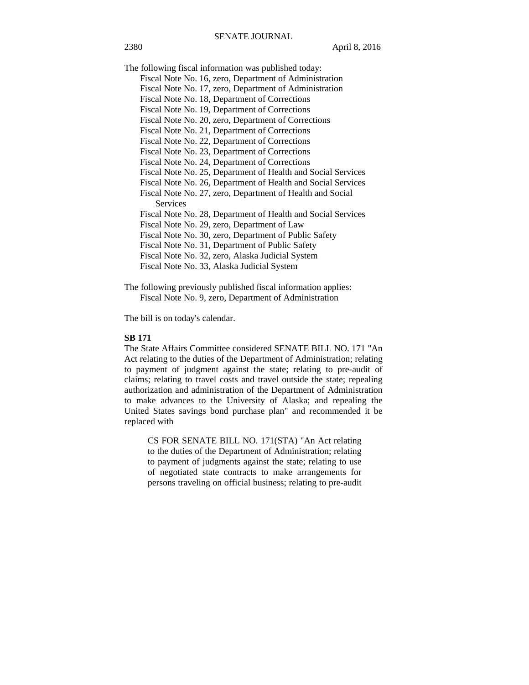The following fiscal information was published today:

- Fiscal Note No. 16, zero, Department of Administration
- Fiscal Note No. 17, zero, Department of Administration
- Fiscal Note No. 18, Department of Corrections
- Fiscal Note No. 19, Department of Corrections
- Fiscal Note No. 20, zero, Department of Corrections
- Fiscal Note No. 21, Department of Corrections
- Fiscal Note No. 22, Department of Corrections
- Fiscal Note No. 23, Department of Corrections
- Fiscal Note No. 24, Department of Corrections
- Fiscal Note No. 25, Department of Health and Social Services
- Fiscal Note No. 26, Department of Health and Social Services
- Fiscal Note No. 27, zero, Department of Health and Social Services
- Fiscal Note No. 28, Department of Health and Social Services
- Fiscal Note No. 29, zero, Department of Law
- Fiscal Note No. 30, zero, Department of Public Safety
- Fiscal Note No. 31, Department of Public Safety
- Fiscal Note No. 32, zero, Alaska Judicial System
- Fiscal Note No. 33, Alaska Judicial System
- The following previously published fiscal information applies: Fiscal Note No. 9, zero, Department of Administration

The bill is on today's calendar.

### **SB 171**

The State Affairs Committee considered SENATE BILL NO. 171 "An Act relating to the duties of the Department of Administration; relating to payment of judgment against the state; relating to pre-audit of claims; relating to travel costs and travel outside the state; repealing authorization and administration of the Department of Administration to make advances to the University of Alaska; and repealing the United States savings bond purchase plan" and recommended it be replaced with

CS FOR SENATE BILL NO. 171(STA) "An Act relating to the duties of the Department of Administration; relating to payment of judgments against the state; relating to use of negotiated state contracts to make arrangements for persons traveling on official business; relating to pre-audit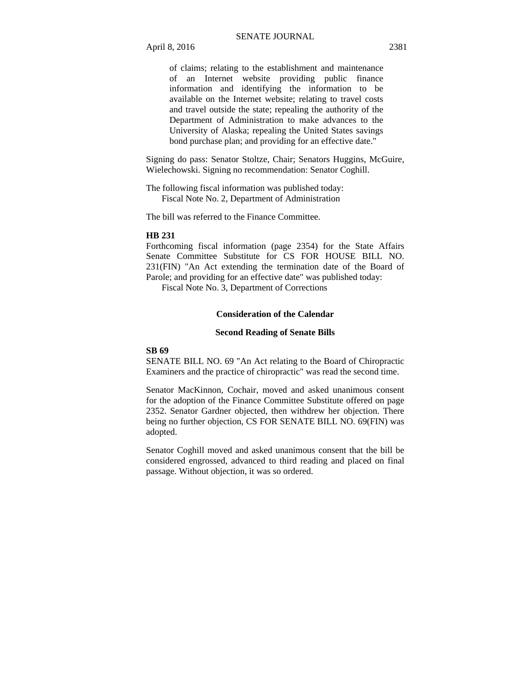April 8, 2016 2381

of claims; relating to the establishment and maintenance of an Internet website providing public finance information and identifying the information to be available on the Internet website; relating to travel costs and travel outside the state; repealing the authority of the Department of Administration to make advances to the University of Alaska; repealing the United States savings bond purchase plan; and providing for an effective date."

Signing do pass: Senator Stoltze, Chair; Senators Huggins, McGuire, Wielechowski. Signing no recommendation: Senator Coghill.

The following fiscal information was published today: Fiscal Note No. 2, Department of Administration

The bill was referred to the Finance Committee.

### **HB 231**

Forthcoming fiscal information (page 2354) for the State Affairs Senate Committee Substitute for CS FOR HOUSE BILL NO. 231(FIN) "An Act extending the termination date of the Board of Parole; and providing for an effective date" was published today:

Fiscal Note No. 3, Department of Corrections

# **Consideration of the Calendar**

### **Second Reading of Senate Bills**

### **SB 69**

SENATE BILL NO. 69 "An Act relating to the Board of Chiropractic Examiners and the practice of chiropractic" was read the second time.

Senator MacKinnon, Cochair, moved and asked unanimous consent for the adoption of the Finance Committee Substitute offered on page 2352. Senator Gardner objected, then withdrew her objection. There being no further objection, CS FOR SENATE BILL NO. 69(FIN) was adopted.

Senator Coghill moved and asked unanimous consent that the bill be considered engrossed, advanced to third reading and placed on final passage. Without objection, it was so ordered.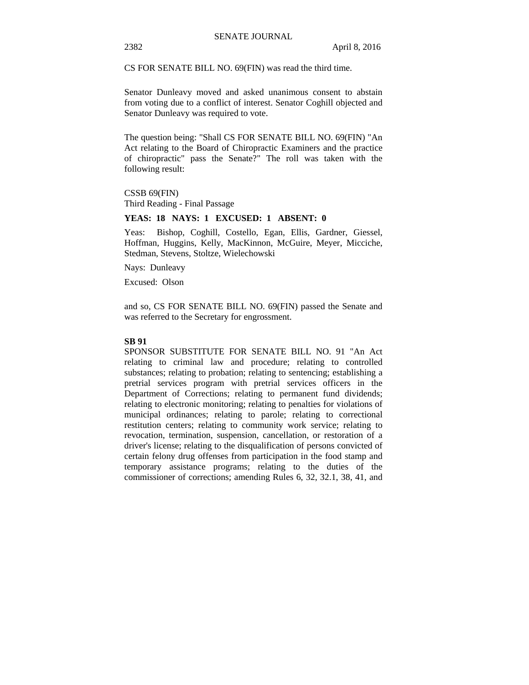CS FOR SENATE BILL NO. 69(FIN) was read the third time.

Senator Dunleavy moved and asked unanimous consent to abstain from voting due to a conflict of interest. Senator Coghill objected and Senator Dunleavy was required to vote.

The question being: "Shall CS FOR SENATE BILL NO. 69(FIN) "An Act relating to the Board of Chiropractic Examiners and the practice of chiropractic" pass the Senate?" The roll was taken with the following result:

CSSB 69(FIN) Third Reading - Final Passage

## **YEAS: 18 NAYS: 1 EXCUSED: 1 ABSENT: 0**

Yeas: Bishop, Coghill, Costello, Egan, Ellis, Gardner, Giessel, Hoffman, Huggins, Kelly, MacKinnon, McGuire, Meyer, Micciche, Stedman, Stevens, Stoltze, Wielechowski

Nays: Dunleavy

Excused: Olson

and so, CS FOR SENATE BILL NO. 69(FIN) passed the Senate and was referred to the Secretary for engrossment.

### **SB 91**

SPONSOR SUBSTITUTE FOR SENATE BILL NO. 91 "An Act relating to criminal law and procedure; relating to controlled substances; relating to probation; relating to sentencing; establishing a pretrial services program with pretrial services officers in the Department of Corrections; relating to permanent fund dividends; relating to electronic monitoring; relating to penalties for violations of municipal ordinances; relating to parole; relating to correctional restitution centers; relating to community work service; relating to revocation, termination, suspension, cancellation, or restoration of a driver's license; relating to the disqualification of persons convicted of certain felony drug offenses from participation in the food stamp and temporary assistance programs; relating to the duties of the commissioner of corrections; amending Rules 6, 32, 32.1, 38, 41, and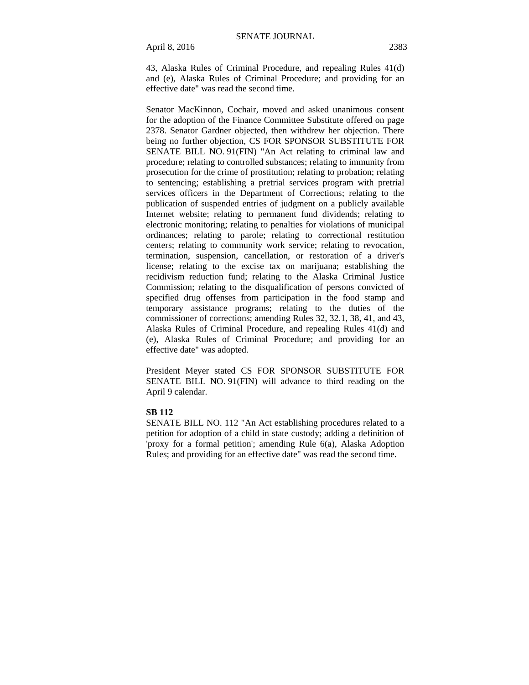April 8, 2016 2383

43, Alaska Rules of Criminal Procedure, and repealing Rules 41(d) and (e), Alaska Rules of Criminal Procedure; and providing for an effective date" was read the second time.

Senator MacKinnon, Cochair, moved and asked unanimous consent for the adoption of the Finance Committee Substitute offered on page 2378. Senator Gardner objected, then withdrew her objection. There being no further objection, CS FOR SPONSOR SUBSTITUTE FOR SENATE BILL NO. 91(FIN) "An Act relating to criminal law and procedure; relating to controlled substances; relating to immunity from prosecution for the crime of prostitution; relating to probation; relating to sentencing; establishing a pretrial services program with pretrial services officers in the Department of Corrections; relating to the publication of suspended entries of judgment on a publicly available Internet website; relating to permanent fund dividends; relating to electronic monitoring; relating to penalties for violations of municipal ordinances; relating to parole; relating to correctional restitution centers; relating to community work service; relating to revocation, termination, suspension, cancellation, or restoration of a driver's license; relating to the excise tax on marijuana; establishing the recidivism reduction fund; relating to the Alaska Criminal Justice Commission; relating to the disqualification of persons convicted of specified drug offenses from participation in the food stamp and temporary assistance programs; relating to the duties of the commissioner of corrections; amending Rules 32, 32.1, 38, 41, and 43, Alaska Rules of Criminal Procedure, and repealing Rules 41(d) and (e), Alaska Rules of Criminal Procedure; and providing for an effective date" was adopted.

President Meyer stated CS FOR SPONSOR SUBSTITUTE FOR SENATE BILL NO. 91(FIN) will advance to third reading on the April 9 calendar.

### **SB 112**

SENATE BILL NO. 112 "An Act establishing procedures related to a petition for adoption of a child in state custody; adding a definition of 'proxy for a formal petition'; amending Rule 6(a), Alaska Adoption Rules; and providing for an effective date" was read the second time.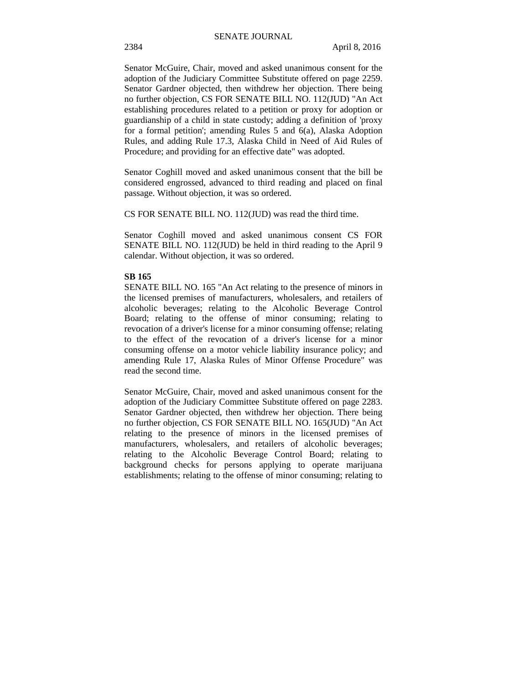Senator McGuire, Chair, moved and asked unanimous consent for the adoption of the Judiciary Committee Substitute offered on page 2259. Senator Gardner objected, then withdrew her objection. There being no further objection, CS FOR SENATE BILL NO. 112(JUD) "An Act establishing procedures related to a petition or proxy for adoption or guardianship of a child in state custody; adding a definition of 'proxy for a formal petition'; amending Rules 5 and 6(a), Alaska Adoption Rules, and adding Rule 17.3, Alaska Child in Need of Aid Rules of Procedure; and providing for an effective date" was adopted.

Senator Coghill moved and asked unanimous consent that the bill be considered engrossed, advanced to third reading and placed on final passage. Without objection, it was so ordered.

CS FOR SENATE BILL NO. 112(JUD) was read the third time.

Senator Coghill moved and asked unanimous consent CS FOR SENATE BILL NO. 112(JUD) be held in third reading to the April 9 calendar. Without objection, it was so ordered.

### **SB 165**

SENATE BILL NO. 165 "An Act relating to the presence of minors in the licensed premises of manufacturers, wholesalers, and retailers of alcoholic beverages; relating to the Alcoholic Beverage Control Board; relating to the offense of minor consuming; relating to revocation of a driver's license for a minor consuming offense; relating to the effect of the revocation of a driver's license for a minor consuming offense on a motor vehicle liability insurance policy; and amending Rule 17, Alaska Rules of Minor Offense Procedure" was read the second time.

Senator McGuire, Chair, moved and asked unanimous consent for the adoption of the Judiciary Committee Substitute offered on page 2283. Senator Gardner objected, then withdrew her objection. There being no further objection, CS FOR SENATE BILL NO. 165(JUD) "An Act relating to the presence of minors in the licensed premises of manufacturers, wholesalers, and retailers of alcoholic beverages; relating to the Alcoholic Beverage Control Board; relating to background checks for persons applying to operate marijuana establishments; relating to the offense of minor consuming; relating to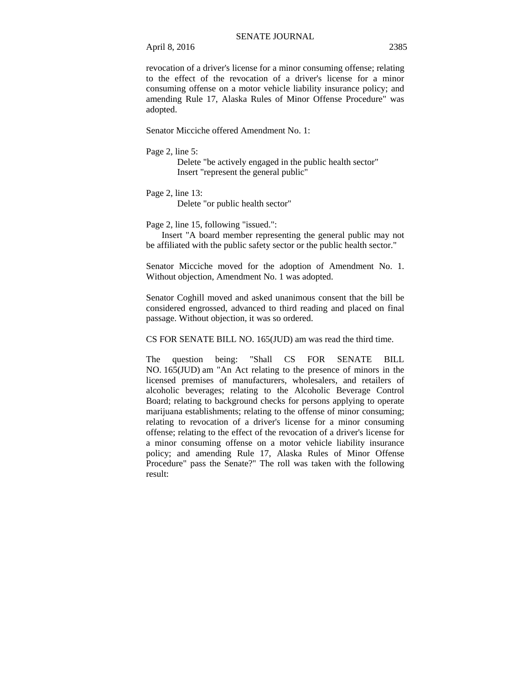April 8, 2016 2385

revocation of a driver's license for a minor consuming offense; relating to the effect of the revocation of a driver's license for a minor consuming offense on a motor vehicle liability insurance policy; and amending Rule 17, Alaska Rules of Minor Offense Procedure" was adopted.

Senator Micciche offered Amendment No. 1:

Page 2, line 5:

Delete "be actively engaged in the public health sector" Insert "represent the general public"

Page 2, line 13:

Delete "or public health sector"

Page 2, line 15, following "issued.":

 Insert "A board member representing the general public may not be affiliated with the public safety sector or the public health sector."

Senator Micciche moved for the adoption of Amendment No. 1. Without objection, Amendment No. 1 was adopted.

Senator Coghill moved and asked unanimous consent that the bill be considered engrossed, advanced to third reading and placed on final passage. Without objection, it was so ordered.

CS FOR SENATE BILL NO. 165(JUD) am was read the third time.

The question being: "Shall CS FOR SENATE BILL NO. 165(JUD) am "An Act relating to the presence of minors in the licensed premises of manufacturers, wholesalers, and retailers of alcoholic beverages; relating to the Alcoholic Beverage Control Board; relating to background checks for persons applying to operate marijuana establishments; relating to the offense of minor consuming; relating to revocation of a driver's license for a minor consuming offense; relating to the effect of the revocation of a driver's license for a minor consuming offense on a motor vehicle liability insurance policy; and amending Rule 17, Alaska Rules of Minor Offense Procedure" pass the Senate?" The roll was taken with the following result: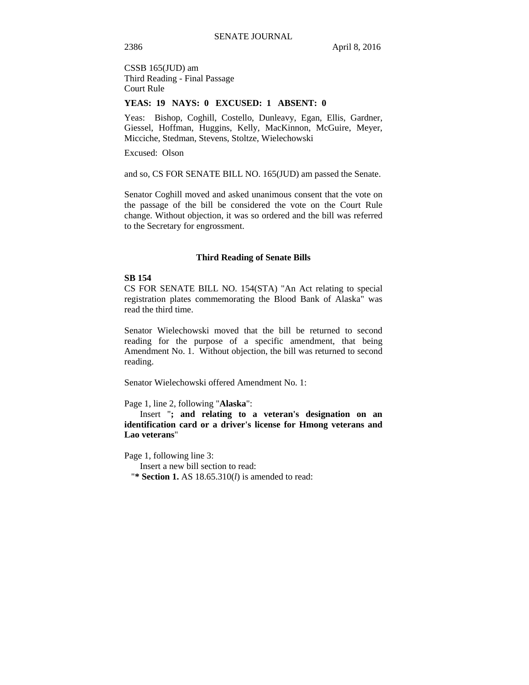CSSB 165(JUD) am Third Reading - Final Passage Court Rule

### **YEAS: 19 NAYS: 0 EXCUSED: 1 ABSENT: 0**

Yeas: Bishop, Coghill, Costello, Dunleavy, Egan, Ellis, Gardner, Giessel, Hoffman, Huggins, Kelly, MacKinnon, McGuire, Meyer, Micciche, Stedman, Stevens, Stoltze, Wielechowski

Excused: Olson

and so, CS FOR SENATE BILL NO. 165(JUD) am passed the Senate.

Senator Coghill moved and asked unanimous consent that the vote on the passage of the bill be considered the vote on the Court Rule change. Without objection, it was so ordered and the bill was referred to the Secretary for engrossment.

### **Third Reading of Senate Bills**

### **SB 154**

CS FOR SENATE BILL NO. 154(STA) "An Act relating to special registration plates commemorating the Blood Bank of Alaska" was read the third time.

Senator Wielechowski moved that the bill be returned to second reading for the purpose of a specific amendment, that being Amendment No. 1. Without objection, the bill was returned to second reading.

Senator Wielechowski offered Amendment No. 1:

Page 1, line 2, following "**Alaska**":

Insert "**; and relating to a veteran's designation on an identification card or a driver's license for Hmong veterans and Lao veterans**"

Page 1, following line 3:

Insert a new bill section to read:

"**\* Section 1.** AS 18.65.310(*l*) is amended to read: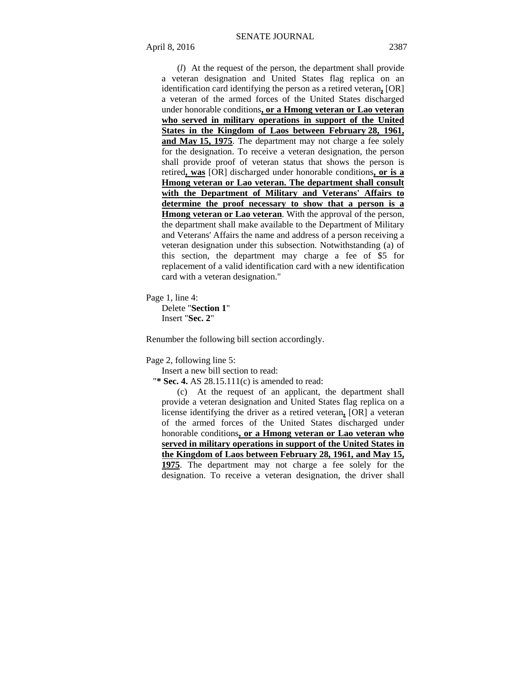(*l*) At the request of the person, the department shall provide a veteran designation and United States flag replica on an identification card identifying the person as a retired veteran**,** [OR] a veteran of the armed forces of the United States discharged under honorable conditions**, or a Hmong veteran or Lao veteran who served in military operations in support of the United States in the Kingdom of Laos between February 28, 1961, and May 15, 1975**. The department may not charge a fee solely for the designation. To receive a veteran designation, the person shall provide proof of veteran status that shows the person is retired**, was** [OR] discharged under honorable conditions**, or is a Hmong veteran or Lao veteran. The department shall consult with the Department of Military and Veterans' Affairs to determine the proof necessary to show that a person is a Hmong veteran or Lao veteran**. With the approval of the person, the department shall make available to the Department of Military and Veterans' Affairs the name and address of a person receiving a veteran designation under this subsection. Notwithstanding (a) of this section, the department may charge a fee of \$5 for replacement of a valid identification card with a new identification card with a veteran designation."

Page 1, line 4:

Delete "**Section 1**" Insert "**Sec. 2**"

Renumber the following bill section accordingly.

Page 2, following line 5:

Insert a new bill section to read:

"**\* Sec. 4.** AS 28.15.111(c) is amended to read:

(c) At the request of an applicant, the department shall provide a veteran designation and United States flag replica on a license identifying the driver as a retired veteran**,** [OR] a veteran of the armed forces of the United States discharged under honorable conditions**, or a Hmong veteran or Lao veteran who served in military operations in support of the United States in the Kingdom of Laos between February 28, 1961, and May 15, 1975**. The department may not charge a fee solely for the designation. To receive a veteran designation, the driver shall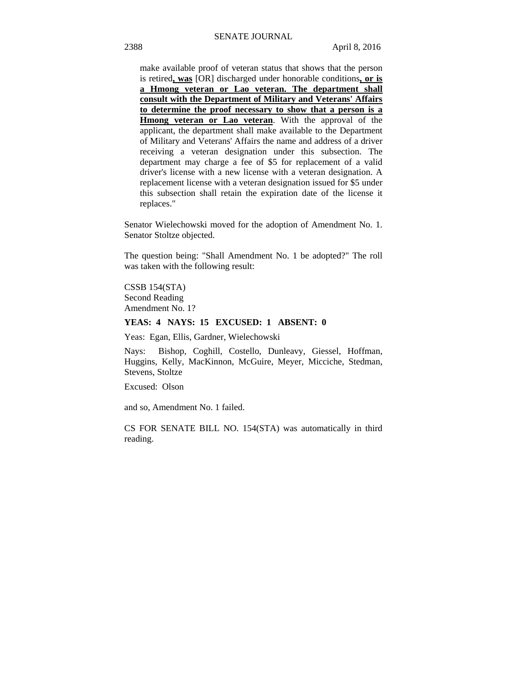make available proof of veteran status that shows that the person is retired**, was** [OR] discharged under honorable conditions**, or is a Hmong veteran or Lao veteran. The department shall consult with the Department of Military and Veterans' Affairs to determine the proof necessary to show that a person is a Hmong veteran or Lao veteran**. With the approval of the applicant, the department shall make available to the Department of Military and Veterans' Affairs the name and address of a driver receiving a veteran designation under this subsection. The department may charge a fee of \$5 for replacement of a valid driver's license with a new license with a veteran designation. A replacement license with a veteran designation issued for \$5 under this subsection shall retain the expiration date of the license it replaces."

Senator Wielechowski moved for the adoption of Amendment No. 1. Senator Stoltze objected.

The question being: "Shall Amendment No. 1 be adopted?" The roll was taken with the following result:

CSSB 154(STA) Second Reading Amendment No. 1?

### **YEAS: 4 NAYS: 15 EXCUSED: 1 ABSENT: 0**

Yeas: Egan, Ellis, Gardner, Wielechowski

Nays: Bishop, Coghill, Costello, Dunleavy, Giessel, Hoffman, Huggins, Kelly, MacKinnon, McGuire, Meyer, Micciche, Stedman, Stevens, Stoltze

Excused: Olson

and so, Amendment No. 1 failed.

CS FOR SENATE BILL NO. 154(STA) was automatically in third reading.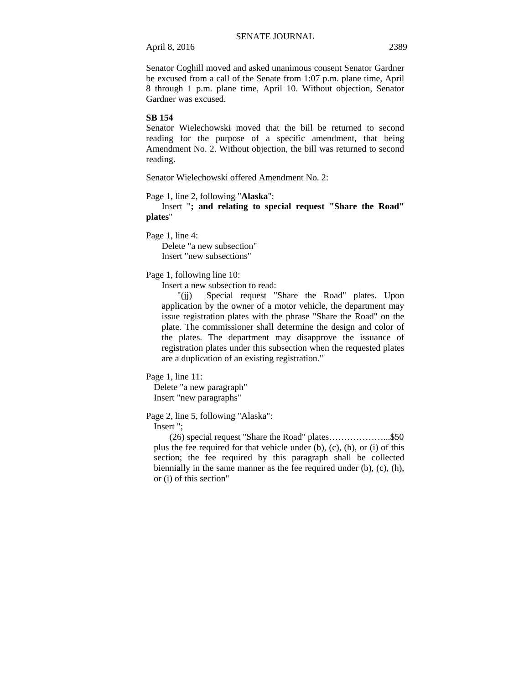Senator Coghill moved and asked unanimous consent Senator Gardner be excused from a call of the Senate from 1:07 p.m. plane time, April 8 through 1 p.m. plane time, April 10. Without objection, Senator Gardner was excused.

### **SB 154**

Senator Wielechowski moved that the bill be returned to second reading for the purpose of a specific amendment, that being Amendment No. 2. Without objection, the bill was returned to second reading.

Senator Wielechowski offered Amendment No. 2:

Page 1, line 2, following "**Alaska**":

Insert "**; and relating to special request "Share the Road" plates**"

Page 1, line 4:

Delete "a new subsection" Insert "new subsections"

Page 1, following line 10:

Insert a new subsection to read:

"(jj) Special request "Share the Road" plates. Upon application by the owner of a motor vehicle, the department may issue registration plates with the phrase "Share the Road" on the plate. The commissioner shall determine the design and color of the plates. The department may disapprove the issuance of registration plates under this subsection when the requested plates are a duplication of an existing registration."

Page 1, line 11:

Delete "a new paragraph" Insert "new paragraphs"

Page 2, line 5, following "Alaska":

Insert ";

(26) special request "Share the Road" plates………………...\$50 plus the fee required for that vehicle under (b), (c), (h), or (i) of this section; the fee required by this paragraph shall be collected biennially in the same manner as the fee required under (b), (c), (h), or (i) of this section"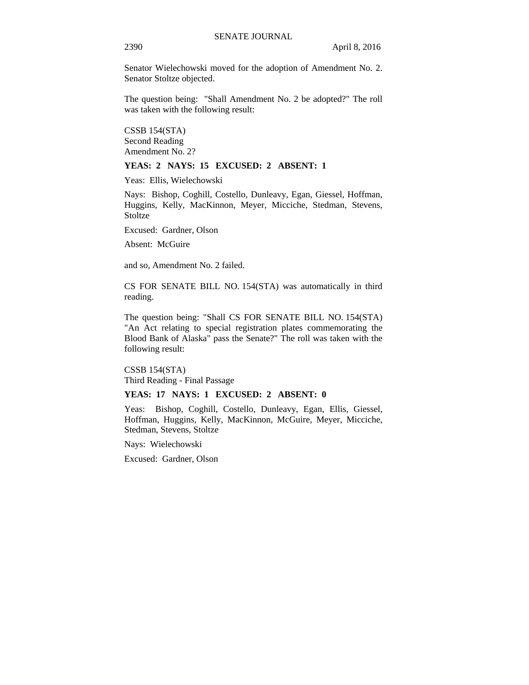Senator Wielechowski moved for the adoption of Amendment No. 2. Senator Stoltze objected.

The question being: "Shall Amendment No. 2 be adopted?" The roll was taken with the following result:

CSSB 154(STA) Second Reading Amendment No. 2?

### **YEAS: 2 NAYS: 15 EXCUSED: 2 ABSENT: 1**

Yeas: Ellis, Wielechowski

Nays: Bishop, Coghill, Costello, Dunleavy, Egan, Giessel, Hoffman, Huggins, Kelly, MacKinnon, Meyer, Micciche, Stedman, Stevens, Stoltze

Excused: Gardner, Olson

Absent: McGuire

and so, Amendment No. 2 failed.

CS FOR SENATE BILL NO. 154(STA) was automatically in third reading.

The question being: "Shall CS FOR SENATE BILL NO. 154(STA) "An Act relating to special registration plates commemorating the Blood Bank of Alaska" pass the Senate?" The roll was taken with the following result:

CSSB 154(STA) Third Reading - Final Passage

### **YEAS: 17 NAYS: 1 EXCUSED: 2 ABSENT: 0**

Yeas: Bishop, Coghill, Costello, Dunleavy, Egan, Ellis, Giessel, Hoffman, Huggins, Kelly, MacKinnon, McGuire, Meyer, Micciche, Stedman, Stevens, Stoltze

Nays: Wielechowski

Excused: Gardner, Olson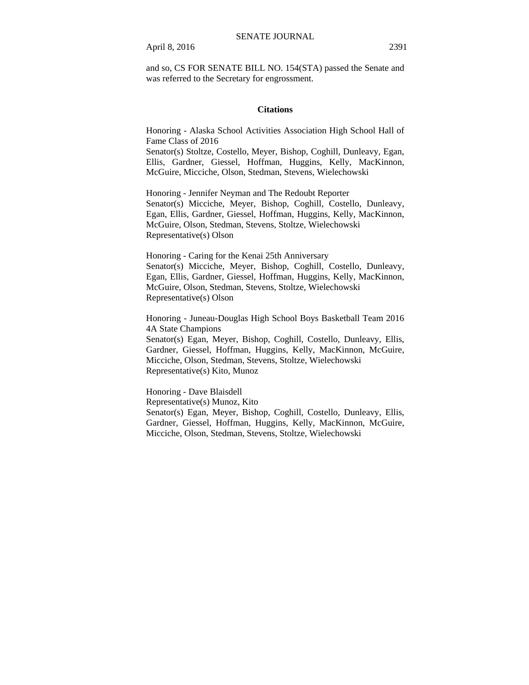and so, CS FOR SENATE BILL NO. 154(STA) passed the Senate and was referred to the Secretary for engrossment.

### **Citations**

Honoring - Alaska School Activities Association High School Hall of Fame Class of 2016

Senator(s) Stoltze, Costello, Meyer, Bishop, Coghill, Dunleavy, Egan, Ellis, Gardner, Giessel, Hoffman, Huggins, Kelly, MacKinnon, McGuire, Micciche, Olson, Stedman, Stevens, Wielechowski

Honoring - Jennifer Neyman and The Redoubt Reporter Senator(s) Micciche, Meyer, Bishop, Coghill, Costello, Dunleavy, Egan, Ellis, Gardner, Giessel, Hoffman, Huggins, Kelly, MacKinnon, McGuire, Olson, Stedman, Stevens, Stoltze, Wielechowski Representative(s) Olson

Honoring - Caring for the Kenai 25th Anniversary Senator(s) Micciche, Meyer, Bishop, Coghill, Costello, Dunleavy, Egan, Ellis, Gardner, Giessel, Hoffman, Huggins, Kelly, MacKinnon, McGuire, Olson, Stedman, Stevens, Stoltze, Wielechowski Representative(s) Olson

Honoring - Juneau-Douglas High School Boys Basketball Team 2016 4A State Champions

Senator(s) Egan, Meyer, Bishop, Coghill, Costello, Dunleavy, Ellis, Gardner, Giessel, Hoffman, Huggins, Kelly, MacKinnon, McGuire, Micciche, Olson, Stedman, Stevens, Stoltze, Wielechowski Representative(s) Kito, Munoz

Honoring - Dave Blaisdell Representative(s) Munoz, Kito Senator(s) Egan, Meyer, Bishop, Coghill, Costello, Dunleavy, Ellis, Gardner, Giessel, Hoffman, Huggins, Kelly, MacKinnon, McGuire, Micciche, Olson, Stedman, Stevens, Stoltze, Wielechowski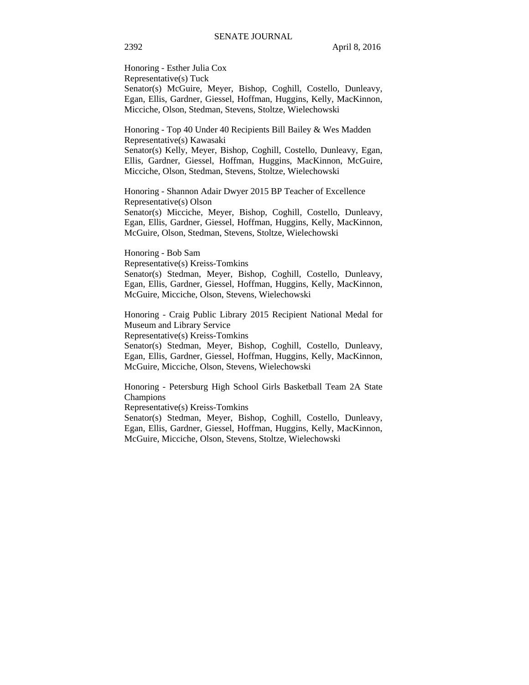Honoring - Esther Julia Cox Representative(s) Tuck Senator(s) McGuire, Meyer, Bishop, Coghill, Costello, Dunleavy, Egan, Ellis, Gardner, Giessel, Hoffman, Huggins, Kelly, MacKinnon, Micciche, Olson, Stedman, Stevens, Stoltze, Wielechowski

Honoring - Top 40 Under 40 Recipients Bill Bailey & Wes Madden Representative(s) Kawasaki

Senator(s) Kelly, Meyer, Bishop, Coghill, Costello, Dunleavy, Egan, Ellis, Gardner, Giessel, Hoffman, Huggins, MacKinnon, McGuire, Micciche, Olson, Stedman, Stevens, Stoltze, Wielechowski

Honoring - Shannon Adair Dwyer 2015 BP Teacher of Excellence Representative(s) Olson

Senator(s) Micciche, Meyer, Bishop, Coghill, Costello, Dunleavy, Egan, Ellis, Gardner, Giessel, Hoffman, Huggins, Kelly, MacKinnon, McGuire, Olson, Stedman, Stevens, Stoltze, Wielechowski

Honoring - Bob Sam Representative(s) Kreiss-Tomkins Senator(s) Stedman, Meyer, Bishop, Coghill, Costello, Dunleavy, Egan, Ellis, Gardner, Giessel, Hoffman, Huggins, Kelly, MacKinnon, McGuire, Micciche, Olson, Stevens, Wielechowski

Honoring - Craig Public Library 2015 Recipient National Medal for Museum and Library Service Representative(s) Kreiss-Tomkins

Senator(s) Stedman, Meyer, Bishop, Coghill, Costello, Dunleavy, Egan, Ellis, Gardner, Giessel, Hoffman, Huggins, Kelly, MacKinnon, McGuire, Micciche, Olson, Stevens, Wielechowski

Honoring - Petersburg High School Girls Basketball Team 2A State Champions

Representative(s) Kreiss-Tomkins

Senator(s) Stedman, Meyer, Bishop, Coghill, Costello, Dunleavy, Egan, Ellis, Gardner, Giessel, Hoffman, Huggins, Kelly, MacKinnon, McGuire, Micciche, Olson, Stevens, Stoltze, Wielechowski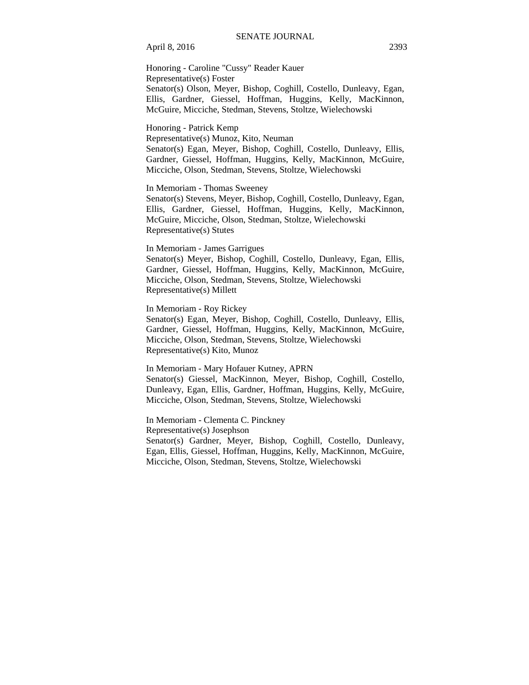April 8, 2016 2393

Honoring - Caroline "Cussy" Reader Kauer Representative(s) Foster Senator(s) Olson, Meyer, Bishop, Coghill, Costello, Dunleavy, Egan, Ellis, Gardner, Giessel, Hoffman, Huggins, Kelly, MacKinnon, McGuire, Micciche, Stedman, Stevens, Stoltze, Wielechowski

Honoring - Patrick Kemp Representative(s) Munoz, Kito, Neuman Senator(s) Egan, Meyer, Bishop, Coghill, Costello, Dunleavy, Ellis, Gardner, Giessel, Hoffman, Huggins, Kelly, MacKinnon, McGuire, Micciche, Olson, Stedman, Stevens, Stoltze, Wielechowski

In Memoriam - Thomas Sweeney

Senator(s) Stevens, Meyer, Bishop, Coghill, Costello, Dunleavy, Egan, Ellis, Gardner, Giessel, Hoffman, Huggins, Kelly, MacKinnon, McGuire, Micciche, Olson, Stedman, Stoltze, Wielechowski Representative(s) Stutes

### In Memoriam - James Garrigues

Senator(s) Meyer, Bishop, Coghill, Costello, Dunleavy, Egan, Ellis, Gardner, Giessel, Hoffman, Huggins, Kelly, MacKinnon, McGuire, Micciche, Olson, Stedman, Stevens, Stoltze, Wielechowski Representative(s) Millett

In Memoriam - Roy Rickey

Senator(s) Egan, Meyer, Bishop, Coghill, Costello, Dunleavy, Ellis, Gardner, Giessel, Hoffman, Huggins, Kelly, MacKinnon, McGuire, Micciche, Olson, Stedman, Stevens, Stoltze, Wielechowski Representative(s) Kito, Munoz

In Memoriam - Mary Hofauer Kutney, APRN Senator(s) Giessel, MacKinnon, Meyer, Bishop, Coghill, Costello, Dunleavy, Egan, Ellis, Gardner, Hoffman, Huggins, Kelly, McGuire, Micciche, Olson, Stedman, Stevens, Stoltze, Wielechowski

In Memoriam - Clementa C. Pinckney Representative(s) Josephson Senator(s) Gardner, Meyer, Bishop, Coghill, Costello, Dunleavy, Egan, Ellis, Giessel, Hoffman, Huggins, Kelly, MacKinnon, McGuire, Micciche, Olson, Stedman, Stevens, Stoltze, Wielechowski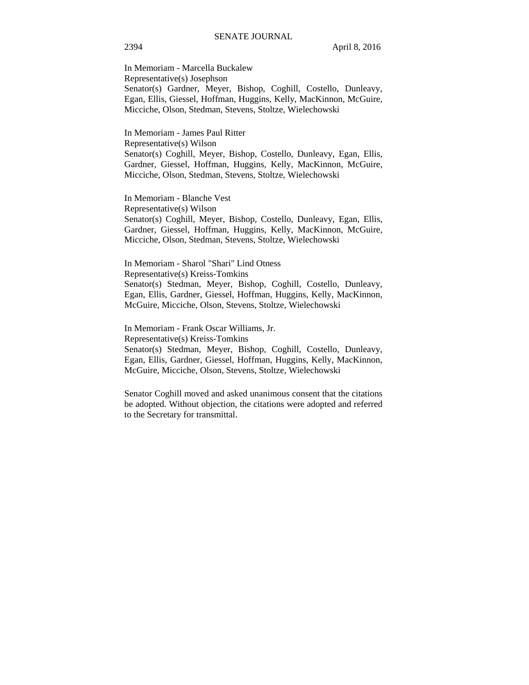In Memoriam - Marcella Buckalew Representative(s) Josephson Senator(s) Gardner, Meyer, Bishop, Coghill, Costello, Dunleavy, Egan, Ellis, Giessel, Hoffman, Huggins, Kelly, MacKinnon, McGuire, Micciche, Olson, Stedman, Stevens, Stoltze, Wielechowski

In Memoriam - James Paul Ritter Representative(s) Wilson Senator(s) Coghill, Meyer, Bishop, Costello, Dunleavy, Egan, Ellis, Gardner, Giessel, Hoffman, Huggins, Kelly, MacKinnon, McGuire, Micciche, Olson, Stedman, Stevens, Stoltze, Wielechowski

In Memoriam - Blanche Vest Representative(s) Wilson Senator(s) Coghill, Meyer, Bishop, Costello, Dunleavy, Egan, Ellis, Gardner, Giessel, Hoffman, Huggins, Kelly, MacKinnon, McGuire, Micciche, Olson, Stedman, Stevens, Stoltze, Wielechowski

In Memoriam - Sharol "Shari" Lind Otness Representative(s) Kreiss-Tomkins Senator(s) Stedman, Meyer, Bishop, Coghill, Costello, Dunleavy, Egan, Ellis, Gardner, Giessel, Hoffman, Huggins, Kelly, MacKinnon, McGuire, Micciche, Olson, Stevens, Stoltze, Wielechowski

In Memoriam - Frank Oscar Williams, Jr. Representative(s) Kreiss-Tomkins Senator(s) Stedman, Meyer, Bishop, Coghill, Costello, Dunleavy, Egan, Ellis, Gardner, Giessel, Hoffman, Huggins, Kelly, MacKinnon, McGuire, Micciche, Olson, Stevens, Stoltze, Wielechowski

Senator Coghill moved and asked unanimous consent that the citations be adopted. Without objection, the citations were adopted and referred to the Secretary for transmittal.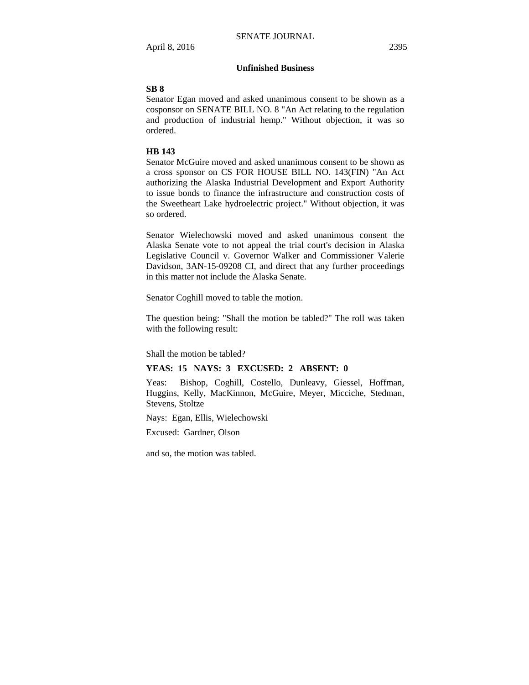# **Unfinished Business**

### **SB 8**

Senator Egan moved and asked unanimous consent to be shown as a cosponsor on SENATE BILL NO. 8 "An Act relating to the regulation and production of industrial hemp." Without objection, it was so ordered.

### **HB 143**

Senator McGuire moved and asked unanimous consent to be shown as a cross sponsor on CS FOR HOUSE BILL NO. 143(FIN) "An Act authorizing the Alaska Industrial Development and Export Authority to issue bonds to finance the infrastructure and construction costs of the Sweetheart Lake hydroelectric project." Without objection, it was so ordered.

Senator Wielechowski moved and asked unanimous consent the Alaska Senate vote to not appeal the trial court's decision in Alaska Legislative Council v. Governor Walker and Commissioner Valerie Davidson, 3AN-15-09208 CI, and direct that any further proceedings in this matter not include the Alaska Senate.

Senator Coghill moved to table the motion.

The question being: "Shall the motion be tabled?" The roll was taken with the following result:

Shall the motion be tabled?

### **YEAS: 15 NAYS: 3 EXCUSED: 2 ABSENT: 0**

Yeas: Bishop, Coghill, Costello, Dunleavy, Giessel, Hoffman, Huggins, Kelly, MacKinnon, McGuire, Meyer, Micciche, Stedman, Stevens, Stoltze

Nays: Egan, Ellis, Wielechowski

Excused: Gardner, Olson

and so, the motion was tabled.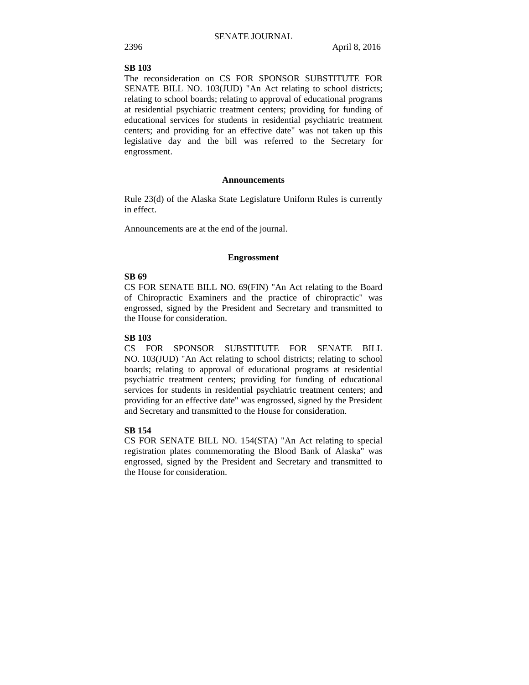# **SB 103**

The reconsideration on CS FOR SPONSOR SUBSTITUTE FOR SENATE BILL NO. 103(JUD) "An Act relating to school districts; relating to school boards; relating to approval of educational programs at residential psychiatric treatment centers; providing for funding of educational services for students in residential psychiatric treatment centers; and providing for an effective date" was not taken up this legislative day and the bill was referred to the Secretary for engrossment.

### **Announcements**

Rule 23(d) of the Alaska State Legislature Uniform Rules is currently in effect.

Announcements are at the end of the journal.

### **Engrossment**

### **SB 69**

CS FOR SENATE BILL NO. 69(FIN) "An Act relating to the Board of Chiropractic Examiners and the practice of chiropractic" was engrossed, signed by the President and Secretary and transmitted to the House for consideration.

### **SB 103**

CS FOR SPONSOR SUBSTITUTE FOR SENATE BILL NO. 103(JUD) "An Act relating to school districts; relating to school boards; relating to approval of educational programs at residential psychiatric treatment centers; providing for funding of educational services for students in residential psychiatric treatment centers; and providing for an effective date" was engrossed, signed by the President and Secretary and transmitted to the House for consideration.

## **SB 154**

CS FOR SENATE BILL NO. 154(STA) "An Act relating to special registration plates commemorating the Blood Bank of Alaska" was engrossed, signed by the President and Secretary and transmitted to the House for consideration.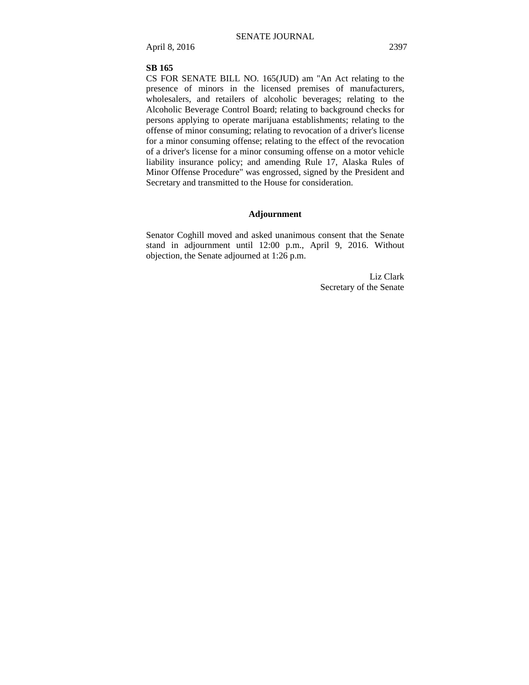### **SB 165**

CS FOR SENATE BILL NO. 165(JUD) am "An Act relating to the presence of minors in the licensed premises of manufacturers, wholesalers, and retailers of alcoholic beverages; relating to the Alcoholic Beverage Control Board; relating to background checks for persons applying to operate marijuana establishments; relating to the offense of minor consuming; relating to revocation of a driver's license for a minor consuming offense; relating to the effect of the revocation of a driver's license for a minor consuming offense on a motor vehicle liability insurance policy; and amending Rule 17, Alaska Rules of Minor Offense Procedure" was engrossed, signed by the President and Secretary and transmitted to the House for consideration.

### **Adjournment**

Senator Coghill moved and asked unanimous consent that the Senate stand in adjournment until 12:00 p.m., April 9, 2016. Without objection, the Senate adjourned at 1:26 p.m.

> Liz Clark Secretary of the Senate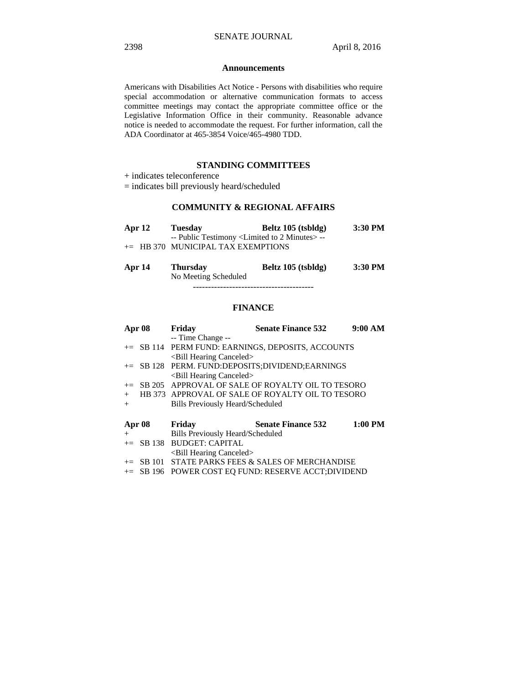### **Announcements**

Americans with Disabilities Act Notice - Persons with disabilities who require special accommodation or alternative communication formats to access committee meetings may contact the appropriate committee office or the Legislative Information Office in their community. Reasonable advance notice is needed to accommodate the request. For further information, call the ADA Coordinator at 465-3854 Voice/465-4980 TDD.

## **STANDING COMMITTEES**

+ indicates teleconference

= indicates bill previously heard/scheduled

# **COMMUNITY & REGIONAL AFFAIRS**

| Apr $12$ | <b>Tuesday</b>                                                  | Beltz 105 (tsbldg) | 3:30 PM |
|----------|-----------------------------------------------------------------|--------------------|---------|
|          | -- Public Testimony <limited 2="" minutes="" to="">--</limited> |                    |         |
|          | $+=$ HB 370 MUNICIPAL TAX EXEMPTIONS                            |                    |         |

| Apr 14 | <b>Thursday</b>      | Beltz 105 (tsbldg) | 3:30 PM |
|--------|----------------------|--------------------|---------|
|        | No Meeting Scheduled |                    |         |
|        |                      |                    |         |

# **FINANCE**

|     | Apr 08        | Friday                                  | <b>Senate Finance 532</b>                           | 9:00 AM   |
|-----|---------------|-----------------------------------------|-----------------------------------------------------|-----------|
|     |               | -- Time Change --                       |                                                     |           |
|     |               |                                         | += SB 114 PERM FUND: EARNINGS, DEPOSITS, ACCOUNTS   |           |
|     |               | <bill canceled="" hearing=""></bill>    |                                                     |           |
|     |               |                                         | += SB 128 PERM. FUND:DEPOSITS;DIVIDEND;EARNINGS     |           |
|     |               | <bill canceled="" hearing=""></bill>    |                                                     |           |
|     |               |                                         | += SB 205 APPROVAL OF SALE OF ROYALTY OIL TO TESORO |           |
| $+$ |               |                                         | HB 373 APPROVAL OF SALE OF ROYALTY OIL TO TESORO    |           |
| $+$ |               | <b>Bills Previously Heard/Scheduled</b> |                                                     |           |
|     | <b>Apr 08</b> | Friday                                  | <b>Senate Finance 532</b>                           | $1:00$ PM |
| $+$ |               | <b>Bills Previously Heard/Scheduled</b> |                                                     |           |
|     |               | $+=$ SB 138 BUDGET: CAPITAL             |                                                     |           |
|     |               | <bill canceled="" hearing=""></bill>    |                                                     |           |
|     | $\pm$ SB 101  |                                         | STATE PARKS FEES & SALES OF MERCHANDISE             |           |
|     |               |                                         | += SB 196 POWER COST EO FUND: RESERVE ACCT;DIVIDEND |           |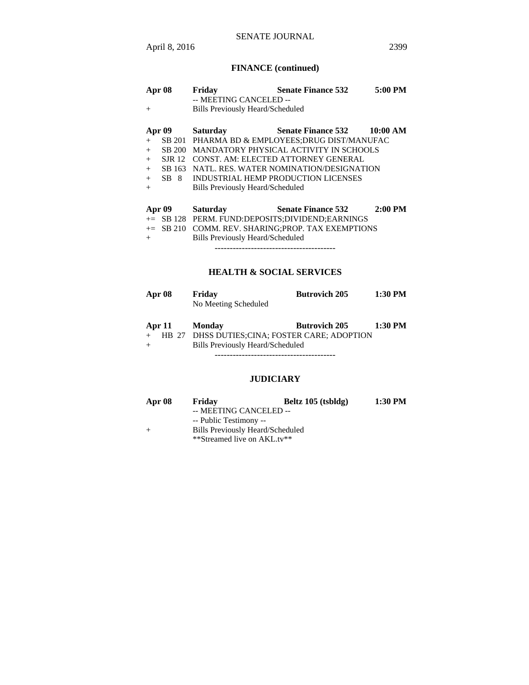# **FINANCE (continued)**

| Apr 08 |               | Friday<br>-- MEETING CANCELED --        | <b>Senate Finance 532</b>                            | 5:00 PM   |
|--------|---------------|-----------------------------------------|------------------------------------------------------|-----------|
| $+$    |               | <b>Bills Previously Heard/Scheduled</b> |                                                      |           |
| Apr 09 |               | <b>Saturday</b>                         | Senate Finance 532 10:00 AM                          |           |
| $+$    |               |                                         | SB 201 PHARMA BD & EMPLOYEES; DRUG DIST/MANUFAC      |           |
| $+$    | SB 200        |                                         | MANDATORY PHYSICAL ACTIVITY IN SCHOOLS               |           |
| $+$    | <b>SJR</b> 12 |                                         | CONST. AM: ELECTED ATTORNEY GENERAL                  |           |
| $+$    | SB 163        |                                         | NATL, RES. WATER NOMINATION/DESIGNATION              |           |
| $+$    | SB 8          | INDUSTRIAL HEMP PRODUCTION LICENSES     |                                                      |           |
| $+$    |               | Bills Previously Heard/Scheduled        |                                                      |           |
| Apr 09 |               | <b>Saturday</b>                         | <b>Senate Finance 532</b>                            | $2:00$ PM |
|        |               |                                         | += SB 128 PERM. FUND:DEPOSITS:DIVIDEND:EARNINGS      |           |
|        |               |                                         | $+=$ SB 210 COMM. REV. SHARING: PROP. TAX EXEMPTIONS |           |
| $+$    |               | Bills Previously Heard/Scheduled        |                                                      |           |

----------------------------------------

# **HEALTH & SOCIAL SERVICES**

| Apr 08 | Friday               | <b>Butrovich 205</b> | $1:30$ PM |
|--------|----------------------|----------------------|-----------|
|        | No Meeting Scheduled |                      |           |

|  | Apr 11 Monday                                 | <b>Butrovich 205</b> | $1:30$ PM |
|--|-----------------------------------------------|----------------------|-----------|
|  | HB 27 DHSS DUTIES;CINA; FOSTER CARE; ADOPTION |                      |           |
|  | <b>Bills Previously Heard/Scheduled</b>       |                      |           |
|  |                                               |                      |           |

# **JUDICIARY**

| Apr 08 | Friday                           | Beltz 105 (tsbldg) | 1:30 PM |
|--------|----------------------------------|--------------------|---------|
|        | -- MEETING CANCELED --           |                    |         |
|        | -- Public Testimony --           |                    |         |
| $^{+}$ | Bills Previously Heard/Scheduled |                    |         |
|        | **Streamed live on AKL.tv**      |                    |         |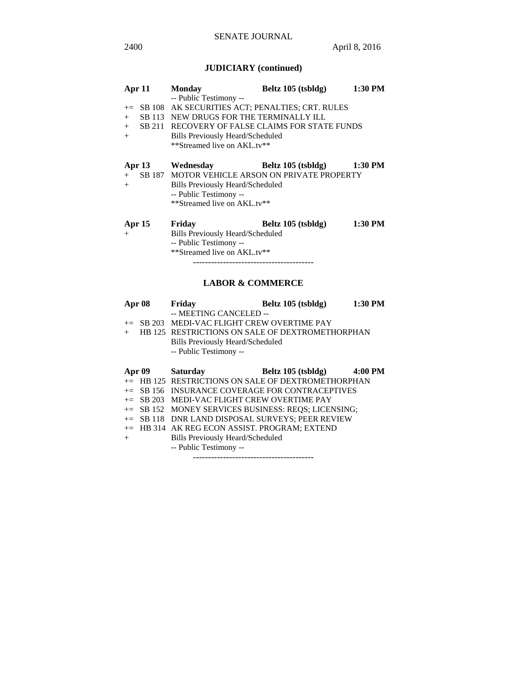# **JUDICIARY (continued)**

| Apr $11$        | <b>Monday</b>                                                                                                                                                                                                                                          | Beltz 105 (tsbldg)         | 1:30 PM |
|-----------------|--------------------------------------------------------------------------------------------------------------------------------------------------------------------------------------------------------------------------------------------------------|----------------------------|---------|
| $+$<br>$+$      | -- Public Testimony --<br>+= SB 108 AK SECURITIES ACT; PENALTIES; CRT. RULES<br>SB 113 NEW DRUGS FOR THE TERMINALLY ILL<br>+ SB 211 RECOVERY OF FALSE CLAIMS FOR STATE FUNDS<br><b>Bills Previously Heard/Scheduled</b><br>**Streamed live on AKL.tv** |                            |         |
| $+$<br>$+$      | Apr 13 Wednesday<br>SB 187 MOTOR VEHICLE ARSON ON PRIVATE PROPERTY<br>Bills Previously Heard/Scheduled<br>-- Public Testimony --<br>**Streamed live on AKL.tv**                                                                                        | Beltz 105 (tsbldg) 1:30 PM |         |
| Apr $15$<br>$+$ | Friday<br><b>Bills Previously Heard/Scheduled</b><br>-- Public Testimony --<br>**Streamed live on AKL.tv**                                                                                                                                             | Beltz 105 (tsbldg)         | 1:30 PM |

----------------------------------------

# **LABOR & COMMERCE**

| Apr 08 |          | Friday                                               | Beltz 105 (tsbldg) | 1:30 PM |
|--------|----------|------------------------------------------------------|--------------------|---------|
|        |          | -- MEETING CANCELED --                               |                    |         |
|        |          | $+=$ SB 203 MEDI-VAC FLIGHT CREW OVERTIME PAY        |                    |         |
| $+$    |          | HB 125 RESTRICTIONS ON SALE OF DEXTROMETHORPHAN      |                    |         |
|        |          | <b>Bills Previously Heard/Scheduled</b>              |                    |         |
|        |          | -- Public Testimony --                               |                    |         |
|        |          |                                                      |                    |         |
|        | Apr $09$ | <b>Saturday</b>                                      | Beltz 105 (tsbldg) | 4:00 PM |
|        |          | $+=$ HB 125 RESTRICTIONS ON SALE OF DEXTROMETHORPHAN |                    |         |
|        |          | += SB 156 INSURANCE COVERAGE FOR CONTRACEPTIVES      |                    |         |
|        |          | $+=$ SB 203 MEDI-VAC FLIGHT CREW OVERTIME PAY        |                    |         |
|        |          | += SB 152 MONEY SERVICES BUSINESS: REOS; LICENSING;  |                    |         |
|        |          | += SB 118 DNR LAND DISPOSAL SURVEYS; PEER REVIEW     |                    |         |
|        |          | += HB 314 AK REG ECON ASSIST. PROGRAM; EXTEND        |                    |         |
| $+$    |          | <b>Bills Previously Heard/Scheduled</b>              |                    |         |
|        |          | -- Public Testimony --                               |                    |         |
|        |          |                                                      |                    |         |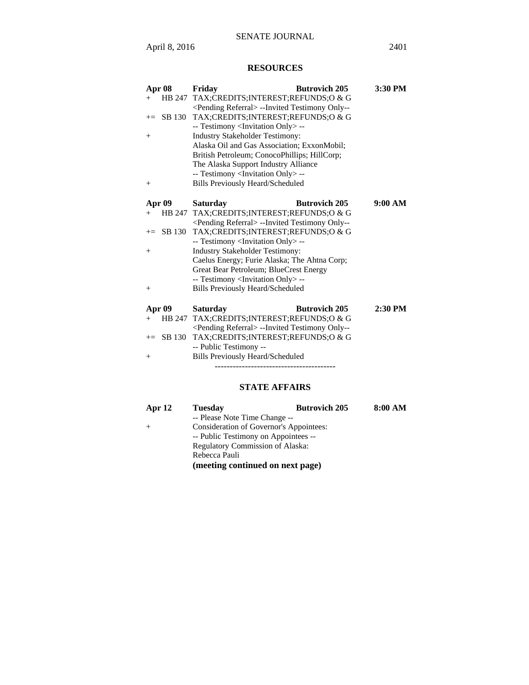# **RESOURCES**

| Apr 08           | Friday                                                                                                | <b>Butrovich 205</b> | 3:30 PM   |
|------------------|-------------------------------------------------------------------------------------------------------|----------------------|-----------|
| HB 247<br>$+$    | TAX;CREDITS;INTEREST;REFUNDS;O & G                                                                    |                      |           |
|                  | <pending referral=""> --Invited Testimony Only--</pending>                                            |                      |           |
| SB 130<br>$+=$   | TAX;CREDITS;INTEREST;REFUNDS;O & G                                                                    |                      |           |
|                  | -- Testimony <invitation only=""> --</invitation>                                                     |                      |           |
| $+$              | <b>Industry Stakeholder Testimony:</b>                                                                |                      |           |
|                  | Alaska Oil and Gas Association; ExxonMobil;                                                           |                      |           |
|                  | British Petroleum; ConocoPhillips; HillCorp;                                                          |                      |           |
|                  | The Alaska Support Industry Alliance                                                                  |                      |           |
|                  | -- Testimony <invitation only=""> --</invitation>                                                     |                      |           |
| $^{+}$           | <b>Bills Previously Heard/Scheduled</b>                                                               |                      |           |
|                  |                                                                                                       |                      |           |
| Apr 09           | <b>Saturday</b>                                                                                       | <b>Butrovich 205</b> | 9:00 AM   |
| HB 247<br>$^{+}$ | TAX; CREDITS; INTEREST; REFUNDS; O & G                                                                |                      |           |
|                  | <pending referral=""> --Invited Testimony Only--</pending>                                            |                      |           |
| SB 130<br>$+=$   | TAX;CREDITS;INTEREST;REFUNDS;O & G                                                                    |                      |           |
|                  | -- Testimony <invitation only=""> --</invitation>                                                     |                      |           |
| $^{+}$           | <b>Industry Stakeholder Testimony:</b>                                                                |                      |           |
|                  | Caelus Energy; Furie Alaska; The Ahtna Corp;                                                          |                      |           |
|                  | Great Bear Petroleum; BlueCrest Energy                                                                |                      |           |
|                  | -- Testimony <invitation only=""> --</invitation>                                                     |                      |           |
| $^{+}$           | <b>Bills Previously Heard/Scheduled</b>                                                               |                      |           |
|                  | <b>Saturday</b>                                                                                       | <b>Butrovich 205</b> | $2:30$ PM |
| Apr 09<br>HB 247 |                                                                                                       |                      |           |
| $+$              | TAX; CREDITS; INTEREST; REFUNDS; O & G                                                                |                      |           |
| SB 130<br>$+=$   | <pending referral=""> --Invited Testimony Only--<br/>TAX;CREDITS;INTEREST;REFUNDS;O &amp; G</pending> |                      |           |
|                  | -- Public Testimony --                                                                                |                      |           |
|                  | <b>Bills Previously Heard/Scheduled</b>                                                               |                      |           |
| $^{+}$           |                                                                                                       |                      |           |

# **STATE AFFAIRS**

----------------------------------------

| Apr $12$ | <b>Tuesday</b>                       | <b>Butrovich 205</b>                    | 8:00 AM |
|----------|--------------------------------------|-----------------------------------------|---------|
|          | -- Please Note Time Change --        |                                         |         |
| $+$      |                                      | Consideration of Governor's Appointees: |         |
|          | -- Public Testimony on Appointees -- |                                         |         |
|          | Regulatory Commission of Alaska:     |                                         |         |
|          | Rebecca Pauli                        |                                         |         |
|          | (meeting continued on next page)     |                                         |         |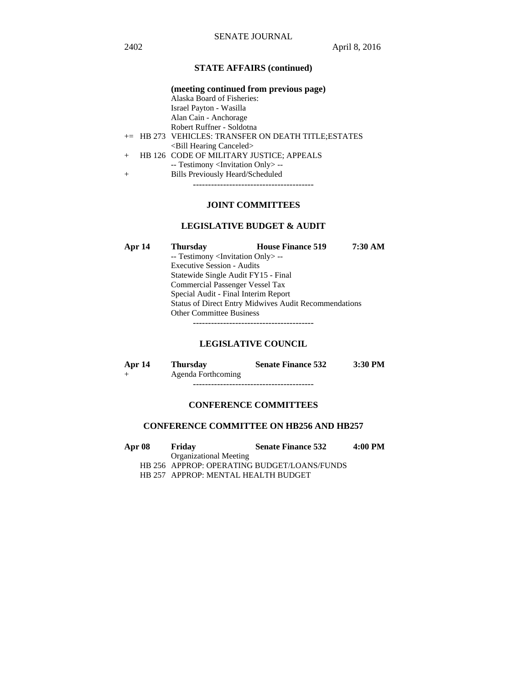# **STATE AFFAIRS (continued)**

|        | (meeting continued from previous page)              |
|--------|-----------------------------------------------------|
|        | Alaska Board of Fisheries:                          |
|        | Israel Payton - Wasilla                             |
|        | Alan Cain - Anchorage                               |
|        | Robert Ruffner - Soldotna                           |
|        | += HB 273 VEHICLES: TRANSFER ON DEATH TITLE;ESTATES |
|        | <bill canceled="" hearing=""></bill>                |
| $+$    | HB 126 CODE OF MILITARY JUSTICE; APPEALS            |
|        | -- Testimony <invitation only=""> --</invitation>   |
| $^{+}$ | <b>Bills Previously Heard/Scheduled</b>             |
|        |                                                     |
|        |                                                     |

# **JOINT COMMITTEES**

# **LEGISLATIVE BUDGET & AUDIT**

| Apr 14 | <b>Thursday</b>                                              | <b>House Finance 519</b> | 7:30 AM |  |
|--------|--------------------------------------------------------------|--------------------------|---------|--|
|        | -- Testimony <invitation only=""> --</invitation>            |                          |         |  |
|        | <b>Executive Session - Audits</b>                            |                          |         |  |
|        | Statewide Single Audit FY15 - Final                          |                          |         |  |
|        | <b>Commercial Passenger Vessel Tax</b>                       |                          |         |  |
|        | Special Audit - Final Interim Report                         |                          |         |  |
|        | <b>Status of Direct Entry Midwives Audit Recommendations</b> |                          |         |  |
|        | <b>Other Committee Business</b>                              |                          |         |  |
|        |                                                              |                          |         |  |

# **LEGISLATIVE COUNCIL**

| Apr 14 | <b>Thursday</b>    | <b>Senate Finance 532</b> | $3:30$ PM |
|--------|--------------------|---------------------------|-----------|
|        | Agenda Forthcoming |                           |           |

----------------------------------------

# **CONFERENCE COMMITTEES**

# **CONFERENCE COMMITTEE ON HB256 AND HB257**

| <b>Apr 08</b> | Friday                              | <b>Senate Finance 532</b>                   | $4:00$ PM |
|---------------|-------------------------------------|---------------------------------------------|-----------|
|               | <b>Organizational Meeting</b>       |                                             |           |
|               |                                     | HB 256 APPROP: OPERATING BUDGET/LOANS/FUNDS |           |
|               | HB 257 APPROP: MENTAL HEALTH BUDGET |                                             |           |